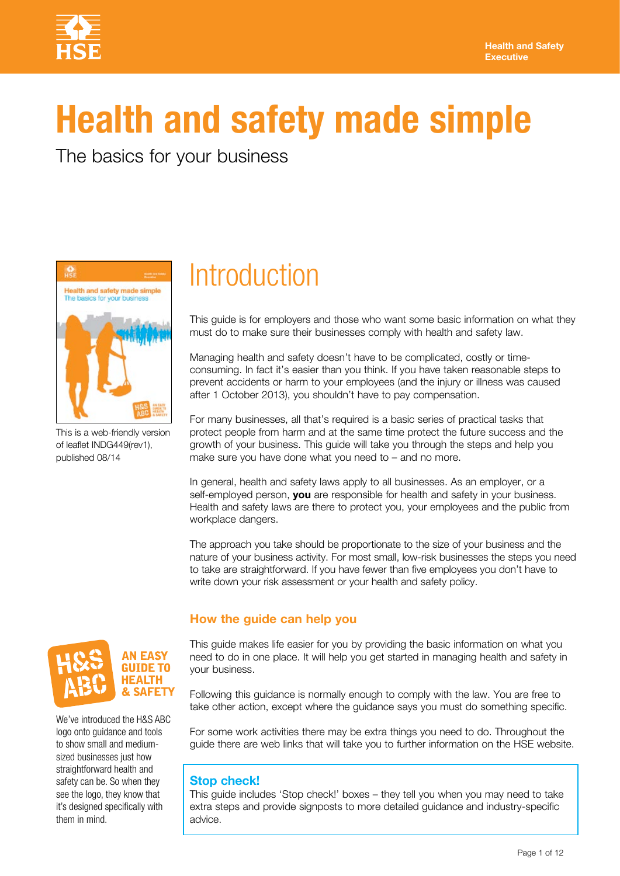

# **Health and safety made simple**

The basics for your business



This is a web-friendly version of leaflet INDG449(rev1), published 08/14

## **Introduction**

This guide is for employers and those who want some basic information on what they must do to make sure their businesses comply with health and safety law.

Managing health and safety doesn't have to be complicated, costly or timeconsuming. In fact it's easier than you think. If you have taken reasonable steps to prevent accidents or harm to your employees (and the injury or illness was caused after 1 October 2013), you shouldn't have to pay compensation.

For many businesses, all that's required is a basic series of practical tasks that protect people from harm and at the same time protect the future success and the growth of your business. This guide will take you through the steps and help you make sure you have done what you need to – and no more.

In general, health and safety laws apply to all businesses. As an employer, or a self-employed person, **you** are responsible for health and safety in your business. Health and safety laws are there to protect you, your employees and the public from workplace dangers.

The approach you take should be proportionate to the size of your business and the nature of your business activity. For most small, low-risk businesses the steps you need to take are straightforward. If you have fewer than five employees you don't have to write down your risk assessment or your health and safety policy.

#### **How the guide can help you**

This guide makes life easier for you by providing the basic information on what you need to do in one place. It will help you get started in managing health and safety in your business.

Following this guidance is normally enough to comply with the law. You are free to take other action, except where the guidance says you must do something specific.

For some work activities there may be extra things you need to do. Throughout the guide there are web links that will take you to further information on the HSE website.

#### **Stop check!**

This guide includes 'Stop check!' boxes – they tell you when you may need to take extra steps and provide signposts to more detailed guidance and industry-specific advice.



We've introduced the H&S ABC logo onto guidance and tools to show small and mediumsized businesses just how straightforward health and safety can be. So when they see the logo, they know that it's designed specifically with them in mind.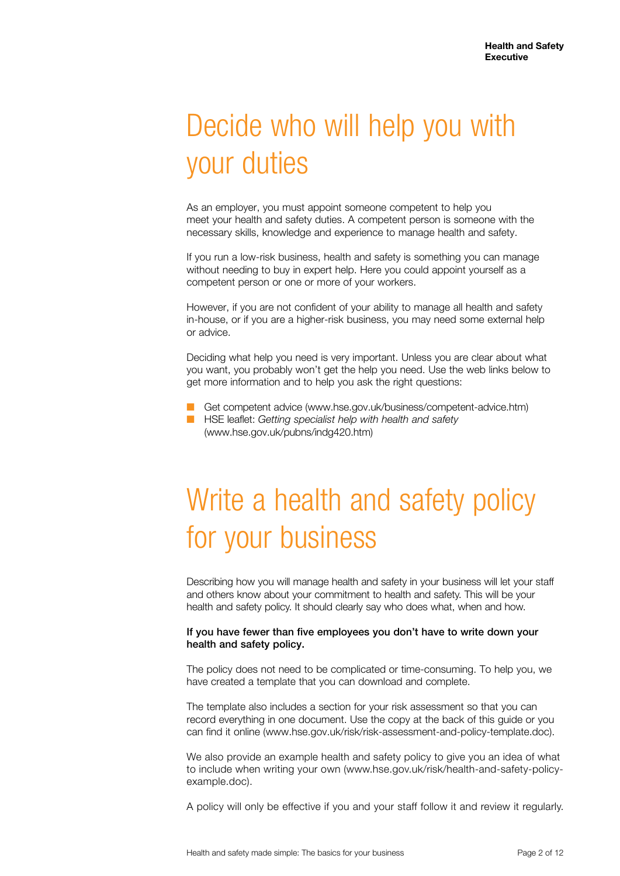## Decide who will help you with your duties

As an employer, you must appoint someone competent to help you meet your health and safety duties. A competent person is someone with the necessary skills, knowledge and experience to manage health and safety.

If you run a low-risk business, health and safety is something you can manage without needing to buy in expert help. Here you could appoint yourself as a competent person or one or more of your workers.

However, if you are not confident of your ability to manage all health and safety in-house, or if you are a higher-risk business, you may need some external help or advice.

Deciding what help you need is very important. Unless you are clear about what you want, you probably won't get the help you need. Use the web links below to get more information and to help you ask the right questions:

- Get competent advice (www.hse.gov.uk/business/competent-advice.htm) ■ HSE leaflet: *Getting specialist help with health and safety*
- (www.hse.gov.uk/pubns/indg420.htm)

## Write a health and safety policy for your business

Describing how you will manage health and safety in your business will let your staff and others know about your commitment to health and safety. This will be your health and safety policy. It should clearly say who does what, when and how.

#### If you have fewer than five employees you don't have to write down your health and safety policy.

The policy does not need to be complicated or time-consuming. To help you, we have created a template that you can download and complete.

The template also includes a section for your risk assessment so that you can record everything in one document. Use the copy at the back of this guide or you can find it online (www.hse.gov.uk/risk/risk-assessment-and-policy-template.doc).

We also provide an example health and safety policy to give you an idea of what to include when writing your own (www.hse.gov.uk/risk/health-and-safety-policyexample.doc).

A policy will only be effective if you and your staff follow it and review it regularly.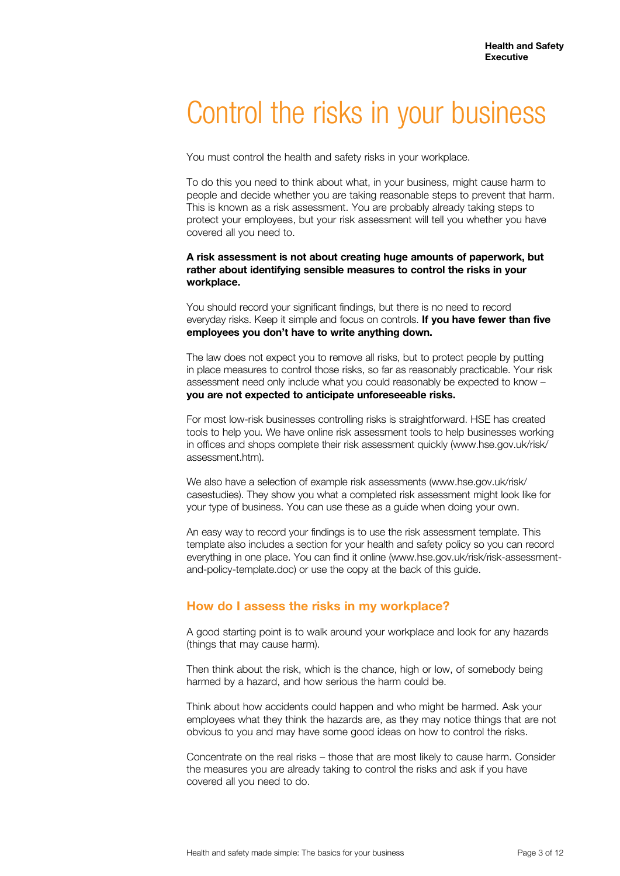## Control the risks in your business

You must control the health and safety risks in your workplace.

To do this you need to think about what, in your business, might cause harm to people and decide whether you are taking reasonable steps to prevent that harm. This is known as a risk assessment. You are probably already taking steps to protect your employees, but your risk assessment will tell you whether you have covered all you need to.

**A risk assessment is not about creating huge amounts of paperwork, but rather about identifying sensible measures to control the risks in your workplace.** 

You should record your significant findings, but there is no need to record everyday risks. Keep it simple and focus on controls. **If you have fewer than five employees you don't have to write anything down.**

The law does not expect you to remove all risks, but to protect people by putting in place measures to control those risks, so far as reasonably practicable. Your risk assessment need only include what you could reasonably be expected to know – **you are not expected to anticipate unforeseeable risks.**

For most low-risk businesses controlling risks is straightforward. HSE has created tools to help you. We have online risk assessment tools to help businesses working in offices and shops complete their risk assessment quickly (www.hse.gov.uk/risk/ assessment.htm).

We also have a selection of example risk assessments (www.hse.gov.uk/risk/ casestudies). They show you what a completed risk assessment might look like for your type of business. You can use these as a guide when doing your own.

An easy way to record your findings is to use the risk assessment template. This template also includes a section for your health and safety policy so you can record everything in one place. You can find it online (www.hse.gov.uk/risk/risk-assessmentand-policy-template.doc) or use the copy at the back of this guide.

#### **How do I assess the risks in my workplace?**

A good starting point is to walk around your workplace and look for any hazards (things that may cause harm).

Then think about the risk, which is the chance, high or low, of somebody being harmed by a hazard, and how serious the harm could be.

Think about how accidents could happen and who might be harmed. Ask your employees what they think the hazards are, as they may notice things that are not obvious to you and may have some good ideas on how to control the risks.

Concentrate on the real risks – those that are most likely to cause harm. Consider the measures you are already taking to control the risks and ask if you have covered all you need to do.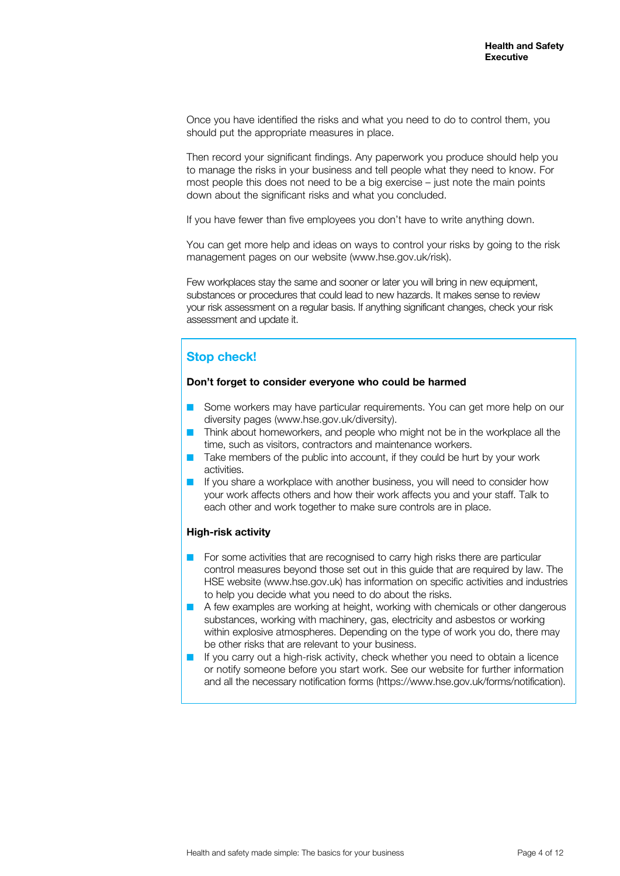Once you have identified the risks and what you need to do to control them, you should put the appropriate measures in place.

Then record your significant findings. Any paperwork you produce should help you to manage the risks in your business and tell people what they need to know. For most people this does not need to be a big exercise – just note the main points down about the significant risks and what you concluded.

If you have fewer than five employees you don't have to write anything down.

You can get more help and ideas on ways to control your risks by going to the risk management pages on our website (www.hse.gov.uk/risk).

Few workplaces stay the same and sooner or later you will bring in new equipment, substances or procedures that could lead to new hazards. It makes sense to review your risk assessment on a regular basis. If anything significant changes, check your risk assessment and update it.

#### **Stop check!**

#### **Don't forget to consider everyone who could be harmed**

- Some workers may have particular requirements. You can get more help on our diversity pages (www.hse.gov.uk/diversity).
- Think about homeworkers, and people who might not be in the workplace all the time, such as visitors, contractors and maintenance workers.
- Take members of the public into account, if they could be hurt by your work activities.
- If you share a workplace with another business, you will need to consider how your work affects others and how their work affects you and your staff. Talk to each other and work together to make sure controls are in place.

#### **High-risk activity**

- For some activities that are recognised to carry high risks there are particular control measures beyond those set out in this guide that are required by law. The HSE website (www.hse.gov.uk) has information on specific activities and industries to help you decide what you need to do about the risks.
- A few examples are working at height, working with chemicals or other dangerous substances, working with machinery, gas, electricity and asbestos or working within explosive atmospheres. Depending on the type of work you do, there may be other risks that are relevant to your business.
- If you carry out a high-risk activity, check whether you need to obtain a licence or notify someone before you start work. See our website for further information and all the necessary notification forms (https://www.hse.gov.uk/forms/notification).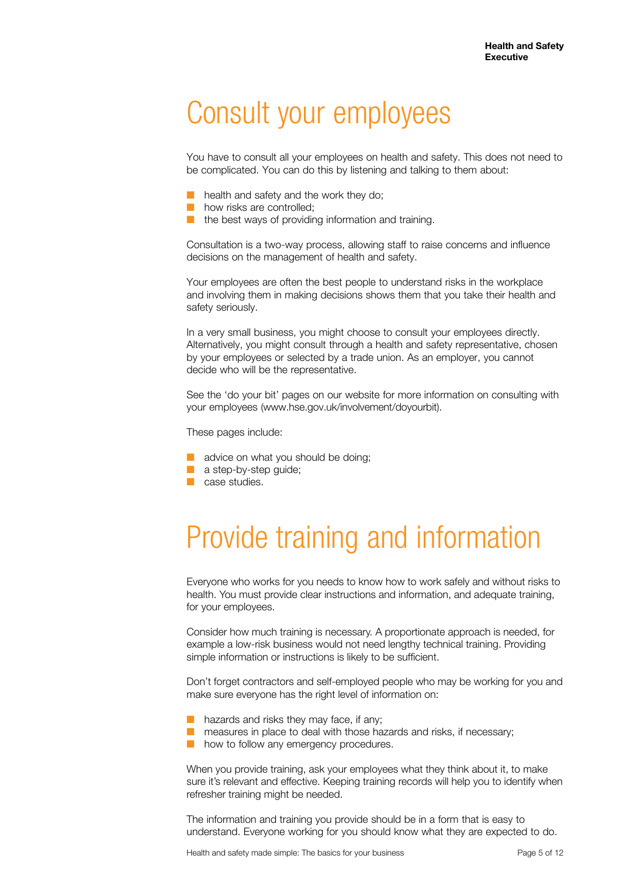### Consult your employees

You have to consult all your employees on health and safety. This does not need to be complicated. You can do this by listening and talking to them about:

- health and safety and the work they do;
- how risks are controlled;
- the best ways of providing information and training.

Consultation is a two-way process, allowing staff to raise concerns and influence decisions on the management of health and safety.

Your employees are often the best people to understand risks in the workplace and involving them in making decisions shows them that you take their health and safety seriously.

In a very small business, you might choose to consult your employees directly. Alternatively, you might consult through a health and safety representative, chosen by your employees or selected by a trade union. As an employer, you cannot decide who will be the representative.

See the 'do your bit' pages on our website for more information on consulting with your employees (www.hse.gov.uk/involvement/doyourbit).

These pages include:

- advice on what you should be doing;
- a step-by-step guide;
- case studies.

## Provide training and information

Everyone who works for you needs to know how to work safely and without risks to health. You must provide clear instructions and information, and adequate training, for your employees.

Consider how much training is necessary. A proportionate approach is needed, for example a low-risk business would not need lengthy technical training. Providing simple information or instructions is likely to be sufficient.

Don't forget contractors and self-employed people who may be working for you and make sure everyone has the right level of information on:

- hazards and risks they may face, if any;
- measures in place to deal with those hazards and risks, if necessary;
	- how to follow any emergency procedures.

When you provide training, ask your employees what they think about it, to make sure it's relevant and effective. Keeping training records will help you to identify when refresher training might be needed.

The information and training you provide should be in a form that is easy to understand. Everyone working for you should know what they are expected to do.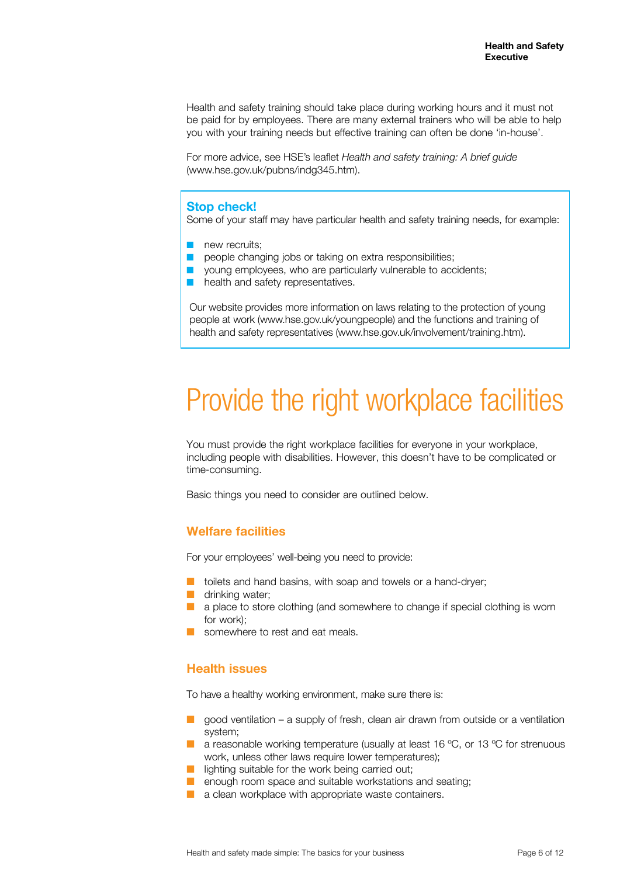Health and safety training should take place during working hours and it must not be paid for by employees. There are many external trainers who will be able to help you with your training needs but effective training can often be done 'in-house'.

For more advice, see HSE's leaflet *Health and safety training: A brief guide* (www.hse.gov.uk/pubns/indg345.htm).

#### **Stop check!**

Some of your staff may have particular health and safety training needs, for example:

- new recruits;
- people changing jobs or taking on extra responsibilities;
- young employees, who are particularly vulnerable to accidents;
- health and safety representatives.

Our website provides more information on laws relating to the protection of young people at work (www.hse.gov.uk/youngpeople) and the functions and training of health and safety representatives (www.hse.gov.uk/involvement/training.htm).

## Provide the right workplace facilities

You must provide the right workplace facilities for everyone in your workplace, including people with disabilities. However, this doesn't have to be complicated or time-consuming.

Basic things you need to consider are outlined below.

#### **Welfare facilities**

For your employees' well-being you need to provide:

- toilets and hand basins, with soap and towels or a hand-dryer;
- drinking water;
- a place to store clothing (and somewhere to change if special clothing is worn for work);
- somewhere to rest and eat meals.

#### **Health issues**

To have a healthy working environment, make sure there is:

- $\Box$  good ventilation a supply of fresh, clean air drawn from outside or a ventilation system;
- a reasonable working temperature (usually at least 16 °C, or 13 °C for strenuous work, unless other laws require lower temperatures);
- lighting suitable for the work being carried out;
- enough room space and suitable workstations and seating;
- a clean workplace with appropriate waste containers.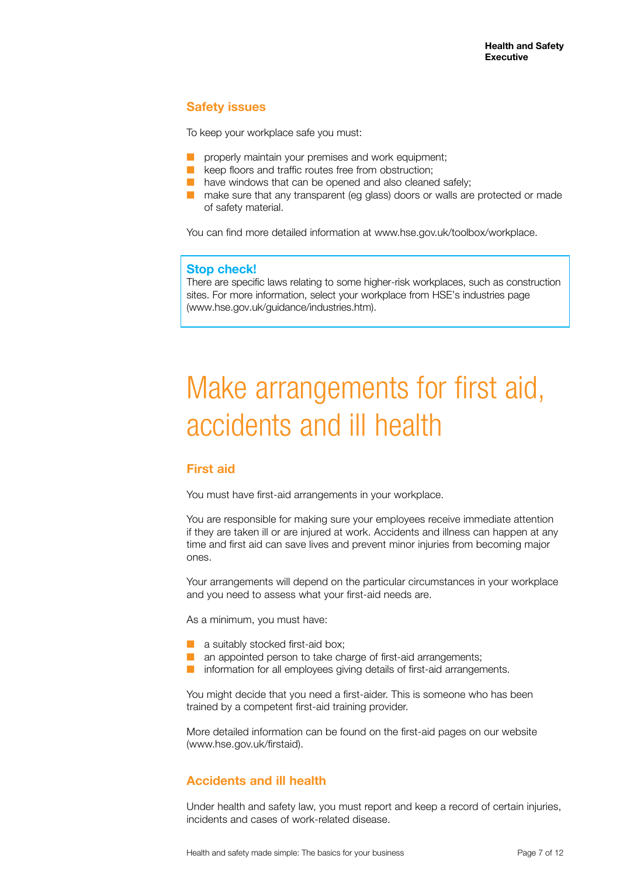#### **Safety issues**

To keep your workplace safe you must:

- properly maintain your premises and work equipment;
- keep floors and traffic routes free from obstruction;
- have windows that can be opened and also cleaned safely;
- make sure that any transparent (eg glass) doors or walls are protected or made of safety material.

You can find more detailed information at www.hse.gov.uk/toolbox/workplace.

#### **Stop check!**

There are specific laws relating to some higher-risk workplaces, such as construction sites. For more information, select your workplace from HSE's industries page (www.hse.gov.uk/guidance/industries.htm).

## Make arrangements for first aid, accidents and ill health

#### **First aid**

You must have first-aid arrangements in your workplace.

You are responsible for making sure your employees receive immediate attention if they are taken ill or are injured at work. Accidents and illness can happen at any time and first aid can save lives and prevent minor injuries from becoming major ones.

Your arrangements will depend on the particular circumstances in your workplace and you need to assess what your first-aid needs are.

As a minimum, you must have:

- a suitably stocked first-aid box;
- an appointed person to take charge of first-aid arrangements;
- information for all employees giving details of first-aid arrangements.

You might decide that you need a first-aider. This is someone who has been trained by a competent first-aid training provider.

More detailed information can be found on the first-aid pages on our website (www.hse.gov.uk/firstaid).

#### **Accidents and ill health**

Under health and safety law, you must report and keep a record of certain injuries, incidents and cases of work-related disease.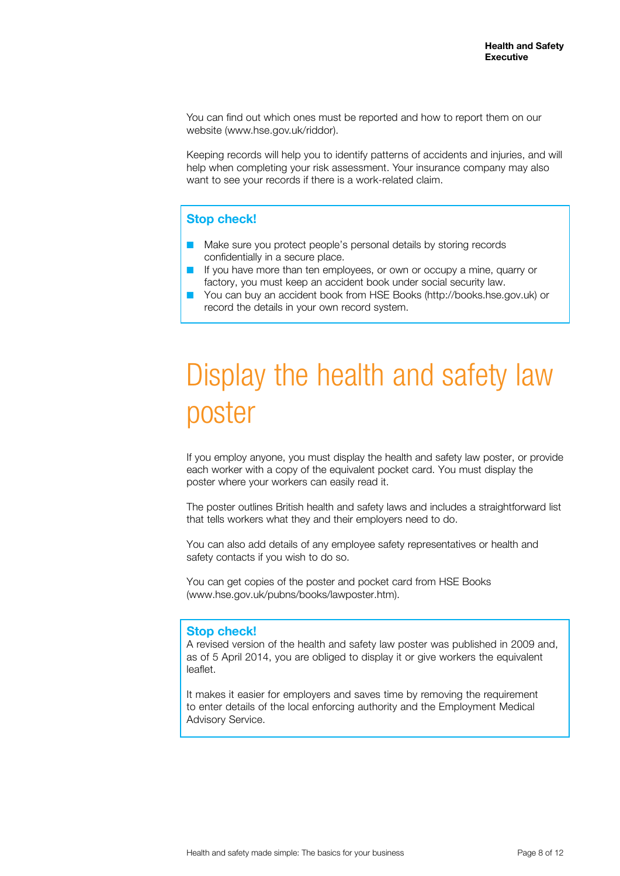You can find out which ones must be reported and how to report them on our website (www.hse.gov.uk/riddor).

Keeping records will help you to identify patterns of accidents and injuries, and will help when completing your risk assessment. Your insurance company may also want to see your records if there is a work-related claim.

#### **Stop check!**

- Make sure you protect people's personal details by storing records confidentially in a secure place.
- If you have more than ten employees, or own or occupy a mine, quarry or factory, you must keep an accident book under social security law.
- You can buy an accident book from HSE Books (http://books.hse.gov.uk) or record the details in your own record system.

## Display the health and safety law poster

If you employ anyone, you must display the health and safety law poster, or provide each worker with a copy of the equivalent pocket card. You must display the poster where your workers can easily read it.

The poster outlines British health and safety laws and includes a straightforward list that tells workers what they and their employers need to do.

You can also add details of any employee safety representatives or health and safety contacts if you wish to do so.

You can get copies of the poster and pocket card from HSE Books (www.hse.gov.uk/pubns/books/lawposter.htm).

#### **Stop check!**

A revised version of the health and safety law poster was published in 2009 and, as of 5 April 2014, you are obliged to display it or give workers the equivalent leaflet.

It makes it easier for employers and saves time by removing the requirement to enter details of the local enforcing authority and the Employment Medical Advisory Service.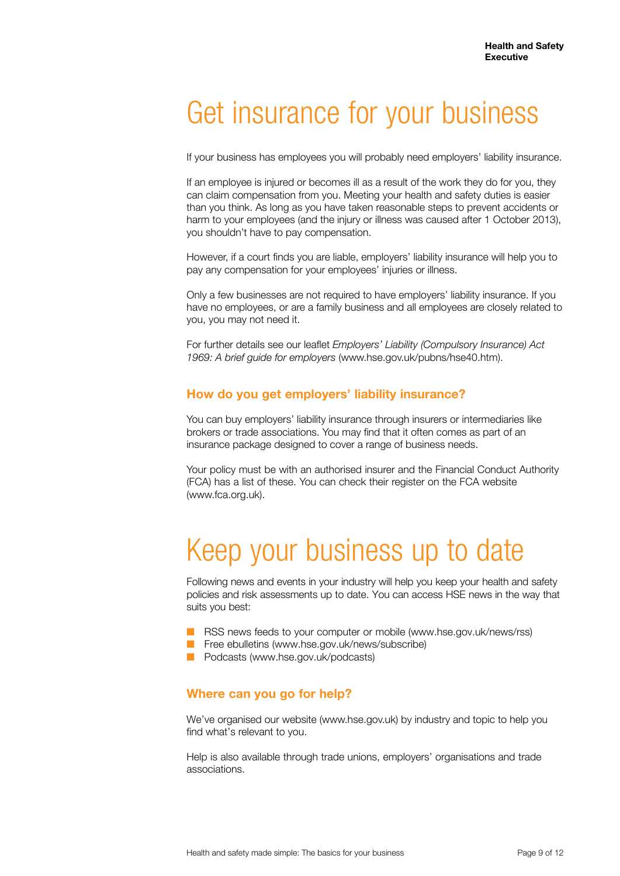## Get insurance for your business

If your business has employees you will probably need employers' liability insurance.

If an employee is injured or becomes ill as a result of the work they do for you, they can claim compensation from you. Meeting your health and safety duties is easier than you think. As long as you have taken reasonable steps to prevent accidents or harm to your employees (and the injury or illness was caused after 1 October 2013), you shouldn't have to pay compensation.

However, if a court finds you are liable, employers' liability insurance will help you to pay any compensation for your employees' injuries or illness.

Only a few businesses are not required to have employers' liability insurance. If you have no employees, or are a family business and all employees are closely related to you, you may not need it.

For further details see our leaflet *Employers' Liability (Compulsory Insurance) Act 1969: A brief guide for employers* (www.hse.gov.uk/pubns/hse40.htm).

#### **How do you get employers' liability insurance?**

You can buy employers' liability insurance through insurers or intermediaries like brokers or trade associations. You may find that it often comes as part of an insurance package designed to cover a range of business needs.

Your policy must be with an authorised insurer and the Financial Conduct Authority (FCA) has a list of these. You can check their register on the FCA website (www.fca.org.uk).

## Keep your business up to date

Following news and events in your industry will help you keep your health and safety policies and risk assessments up to date. You can access HSE news in the way that suits you best:

- RSS news feeds to your computer or mobile (www.hse.gov.uk/news/rss)
- Free ebulletins (www.hse.gov.uk/news/subscribe)
- Podcasts (www.hse.gov.uk/podcasts)

#### **Where can you go for help?**

We've organised our website (www.hse.gov.uk) by industry and topic to help you find what's relevant to you.

Help is also available through trade unions, employers' organisations and trade associations.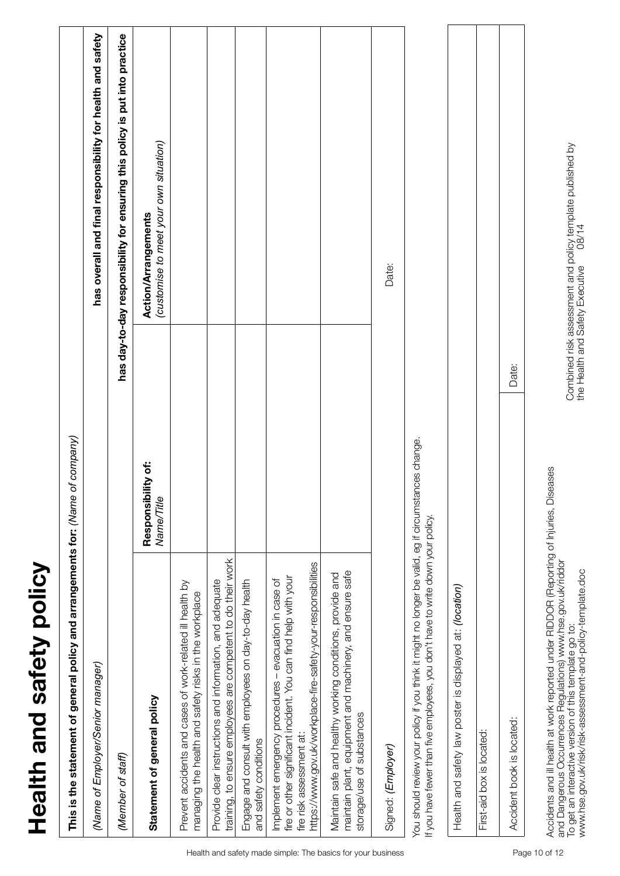| Health and safety policy                                                                                                                                                                                                |                                  |                                                                             |
|-------------------------------------------------------------------------------------------------------------------------------------------------------------------------------------------------------------------------|----------------------------------|-----------------------------------------------------------------------------|
| This is the statement of general policy and arrangements for: (Name                                                                                                                                                     | of company)                      |                                                                             |
| (Name of Employer/Senior manager)                                                                                                                                                                                       |                                  | has overall and final responsibility for health and safety                  |
| (Member of staff)                                                                                                                                                                                                       |                                  | has day-to-day responsibility for ensuring this policy is put into practice |
| Statement of general policy                                                                                                                                                                                             | Responsibility of:<br>Name/Title | (customise to meet your own situation)<br>Action/Arrangements               |
| Prevent accidents and cases of work-related ill health by<br>managing the health and safety risks in the workplace                                                                                                      |                                  |                                                                             |
| training, to ensure employees are competent to do their work<br>Provide clear instructions and information, and adequate                                                                                                |                                  |                                                                             |
| Engage and consult with employees on day-to-day health<br>and safety conditions                                                                                                                                         |                                  |                                                                             |
| https://www.gov.uk/workplace-fire-safety-your-responsibilities<br>fire or other significant incident. You can find help with your<br>Implement emergency procedures - evacuation in case of<br>fire risk assessment at: |                                  |                                                                             |
| maintain plant, equipment and machinery, and ensure safe<br>Maintain safe and healthy working conditions, provide and<br>storage/use of substances                                                                      |                                  |                                                                             |
| Signed: (Employer)                                                                                                                                                                                                      |                                  | Date:                                                                       |
| You should review your policy if you think it might no longer be valid, eg if circumstances change.<br>If you have fewer than five employees, you don't have to write down your policy.                                 |                                  |                                                                             |
| Health and safety law poster is displayed at: (location)                                                                                                                                                                |                                  |                                                                             |
| First-aid box is located:                                                                                                                                                                                               |                                  |                                                                             |
| Accident book is located:                                                                                                                                                                                               | Date:                            |                                                                             |
|                                                                                                                                                                                                                         |                                  |                                                                             |

Accidents and ill health at work reported under RIDDOR (Reporting of Injuries, Diseases

and Dangerous Occurrences Regulations) www.hse.gov.uk/riddor

Accidents and ill health at work reported under RIDDOR (Reporting of Injuries, Diseases<br>and Dangerous Occurrences Regulations) www.hse.gov.uk/riddor<br>To get an interactive version of this template go to:<br>www.hse.gov.uk/risk

To get an interactive version of this template go to:

www.hse.gov.uk/risk/risk-assessment-and-policy-template.doc

Combined risk assessment and policy template published by<br>the Health and Safety Executive 08/14 Combined risk assessment and policy template published by the Health and Safety Executive 08/14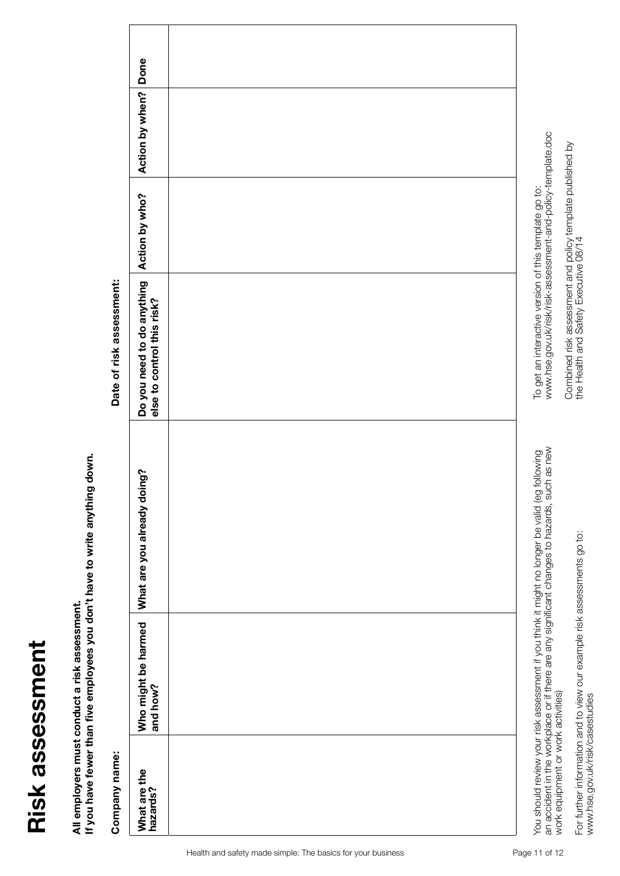# Risk assessment **Risk assessment**

**All employers must conduct a risk assessment.** 

All employers must conduct a risk assessment.<br>If you have fewer than five employees you don't have to write anything down. **If you have fewer than five employees you don't have to write anything down.**

Company name:

Date of risk assessment:

| Company name:                      |                                 |                                                                                                                                                                                               | Date of risk assessment:                                                                                             |                |                 |      |
|------------------------------------|---------------------------------|-----------------------------------------------------------------------------------------------------------------------------------------------------------------------------------------------|----------------------------------------------------------------------------------------------------------------------|----------------|-----------------|------|
| What are the<br>hazards?           | Who might be harmed<br>and how? | What are you already doing?                                                                                                                                                                   | Do you need to do anything<br>else to control this risk?                                                             | Action by who? | Action by when? | Done |
|                                    |                                 |                                                                                                                                                                                               |                                                                                                                      |                |                 |      |
| work equipment or work activities) |                                 | an accident in the workplace or if there are any significant changes to hazards, such as new<br>You should review your risk assessment if you think it might no longer be valid (eg following | www.hse.gov.uk/risk/risk-assessment-and-policy-template.doc<br>To get an interactive version of this template go to: |                |                 |      |

For further information and to view our example risk assessments go to:<br>www.hse.gov.uk/risk/casestudies For further information and to view our example risk assessments go to: www.hse.gov.uk/risk/casestudies

Combined risk assessment and policy template published by

Combined risk assessment and policy template published by<br>the Health and Safety Executive 08/14

the Health and Safety Executive 08/14